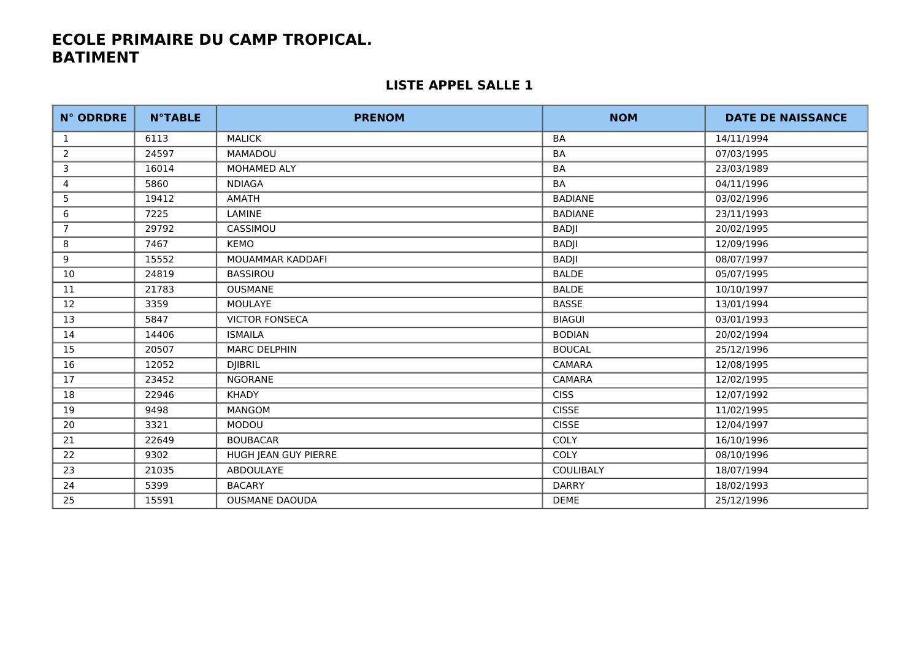| <b>N° ODRDRE</b> | <b>N°TABLE</b> | <b>PRENOM</b>         | <b>NOM</b>       | <b>DATE DE NAISSANCE</b> |
|------------------|----------------|-----------------------|------------------|--------------------------|
| 1                | 6113           | <b>MALICK</b>         | <b>BA</b>        | 14/11/1994               |
| $\overline{2}$   | 24597          | <b>MAMADOU</b>        | BA               | 07/03/1995               |
| 3                | 16014          | MOHAMED ALY           | BA               | 23/03/1989               |
| 4                | 5860           | <b>NDIAGA</b>         | BA               | 04/11/1996               |
| 5                | 19412          | AMATH                 | <b>BADIANE</b>   | 03/02/1996               |
| 6                | 7225           | LAMINE                | <b>BADIANE</b>   | 23/11/1993               |
| $\overline{7}$   | 29792          | CASSIMOU              | <b>BADJI</b>     | 20/02/1995               |
| 8                | 7467           | KEMO                  | <b>BADJI</b>     | 12/09/1996               |
| 9                | 15552          | MOUAMMAR KADDAFI      | <b>BADJI</b>     | 08/07/1997               |
| 10               | 24819          | <b>BASSIROU</b>       | <b>BALDE</b>     | 05/07/1995               |
| 11               | 21783          | <b>OUSMANE</b>        | <b>BALDE</b>     | 10/10/1997               |
| 12               | 3359           | MOULAYE               | <b>BASSE</b>     | 13/01/1994               |
| 13               | 5847           | <b>VICTOR FONSECA</b> | <b>BIAGUI</b>    | 03/01/1993               |
| 14               | 14406          | <b>ISMAILA</b>        | <b>BODIAN</b>    | 20/02/1994               |
| 15               | 20507          | <b>MARC DELPHIN</b>   | <b>BOUCAL</b>    | 25/12/1996               |
| 16               | 12052          | <b>DJIBRIL</b>        | <b>CAMARA</b>    | 12/08/1995               |
| 17               | 23452          | <b>NGORANE</b>        | <b>CAMARA</b>    | 12/02/1995               |
| 18               | 22946          | <b>KHADY</b>          | <b>CISS</b>      | 12/07/1992               |
| 19               | 9498           | <b>MANGOM</b>         | <b>CISSE</b>     | 11/02/1995               |
| 20               | 3321           | <b>MODOU</b>          | <b>CISSE</b>     | 12/04/1997               |
| 21               | 22649          | <b>BOUBACAR</b>       | COLY             | 16/10/1996               |
| 22               | 9302           | HUGH JEAN GUY PIERRE  | <b>COLY</b>      | 08/10/1996               |
| 23               | 21035          | <b>ABDOULAYE</b>      | <b>COULIBALY</b> | 18/07/1994               |
| 24               | 5399           | <b>BACARY</b>         | <b>DARRY</b>     | 18/02/1993               |
| 25               | 15591          | <b>OUSMANE DAOUDA</b> | <b>DEME</b>      | 25/12/1996               |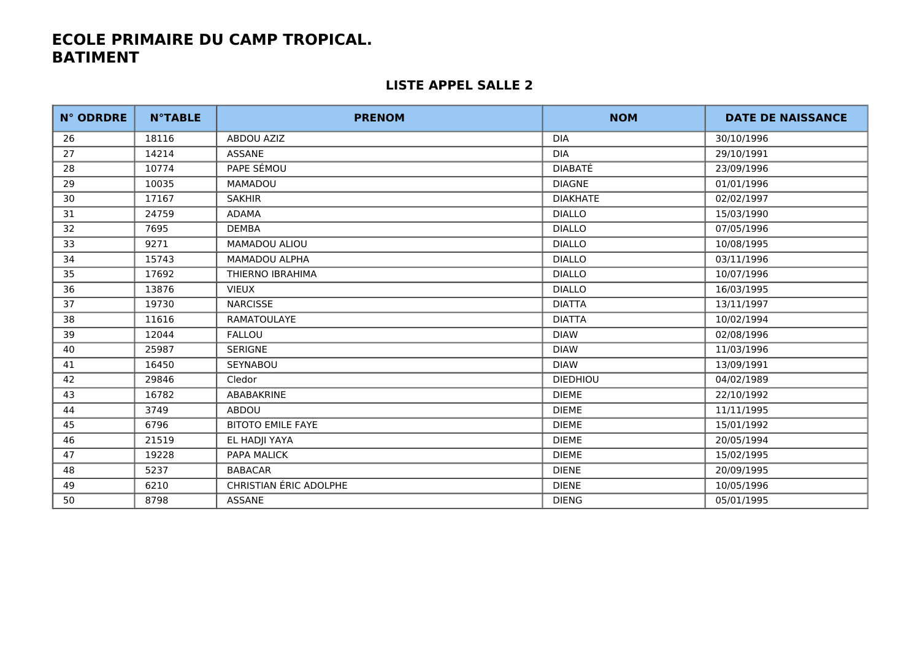| <b>N° ODRDRE</b> | <b>N°TABLE</b> | <b>PRENOM</b>                 | <b>NOM</b>      | <b>DATE DE NAISSANCE</b> |
|------------------|----------------|-------------------------------|-----------------|--------------------------|
| 26               | 18116          | <b>ABDOU AZIZ</b>             | <b>DIA</b>      | 30/10/1996               |
| 27               | 14214          | <b>ASSANE</b>                 | <b>DIA</b>      | 29/10/1991               |
| 28               | 10774          | PAPE SÉMOU                    | DIABATÉ         | 23/09/1996               |
| 29               | 10035          | <b>MAMADOU</b>                | <b>DIAGNE</b>   | 01/01/1996               |
| 30               | 17167          | <b>SAKHIR</b>                 | <b>DIAKHATE</b> | 02/02/1997               |
| 31               | 24759          | <b>ADAMA</b>                  | <b>DIALLO</b>   | 15/03/1990               |
| 32               | 7695           | <b>DEMBA</b>                  | <b>DIALLO</b>   | 07/05/1996               |
| 33               | 9271           | MAMADOU ALIOU                 | <b>DIALLO</b>   | 10/08/1995               |
| 34               | 15743          | <b>MAMADOU ALPHA</b>          | <b>DIALLO</b>   | 03/11/1996               |
| 35               | 17692          | THIERNO IBRAHIMA              | <b>DIALLO</b>   | 10/07/1996               |
| 36               | 13876          | <b>VIEUX</b>                  | <b>DIALLO</b>   | 16/03/1995               |
| 37               | 19730          | <b>NARCISSE</b>               | <b>DIATTA</b>   | 13/11/1997               |
| 38               | 11616          | RAMATOULAYE                   | <b>DIATTA</b>   | 10/02/1994               |
| 39               | 12044          | <b>FALLOU</b>                 | <b>DIAW</b>     | 02/08/1996               |
| 40               | 25987          | <b>SERIGNE</b>                | <b>DIAW</b>     | 11/03/1996               |
| 41               | 16450          | <b>SEYNABOU</b>               | <b>DIAW</b>     | 13/09/1991               |
| 42               | 29846          | Cledor                        | <b>DIEDHIOU</b> | 04/02/1989               |
| 43               | 16782          | ABABAKRINE                    | <b>DIEME</b>    | 22/10/1992               |
| 44               | 3749           | ABDOU                         | <b>DIEME</b>    | 11/11/1995               |
| 45               | 6796           | <b>BITOTO EMILE FAYE</b>      | <b>DIEME</b>    | 15/01/1992               |
| 46               | 21519          | EL HADJI YAYA                 | <b>DIEME</b>    | 20/05/1994               |
| 47               | 19228          | PAPA MALICK                   | <b>DIEME</b>    | 15/02/1995               |
| 48               | 5237           | <b>BABACAR</b>                | <b>DIENE</b>    | 20/09/1995               |
| 49               | 6210           | <b>CHRISTIAN ÉRIC ADOLPHE</b> | <b>DIENE</b>    | 10/05/1996               |
| 50               | 8798           | ASSANE                        | <b>DIENG</b>    | 05/01/1995               |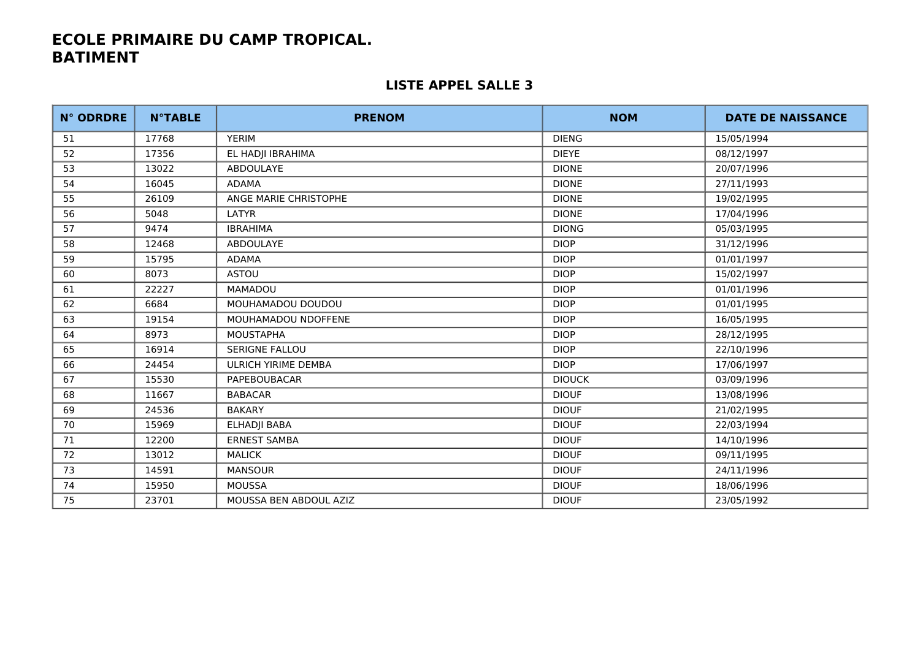| <b>N° ODRDRE</b> | <b>N°TABLE</b> | <b>PRENOM</b>              | <b>NOM</b>    | <b>DATE DE NAISSANCE</b> |
|------------------|----------------|----------------------------|---------------|--------------------------|
| 51               | 17768          | <b>YERIM</b>               | <b>DIENG</b>  | 15/05/1994               |
| 52               | 17356          | EL HADJI IBRAHIMA          | <b>DIEYE</b>  | 08/12/1997               |
| 53               | 13022          | ABDOULAYE                  | <b>DIONE</b>  | 20/07/1996               |
| 54               | 16045          | <b>ADAMA</b>               | <b>DIONE</b>  | 27/11/1993               |
| 55               | 26109          | ANGE MARIE CHRISTOPHE      | <b>DIONE</b>  | 19/02/1995               |
| 56               | 5048           | LATYR                      | <b>DIONE</b>  | 17/04/1996               |
| 57               | 9474           | <b>IBRAHIMA</b>            | <b>DIONG</b>  | 05/03/1995               |
| 58               | 12468          | <b>ABDOULAYE</b>           | <b>DIOP</b>   | 31/12/1996               |
| 59               | 15795          | <b>ADAMA</b>               | <b>DIOP</b>   | 01/01/1997               |
| 60               | 8073           | <b>ASTOU</b>               | <b>DIOP</b>   | 15/02/1997               |
| 61               | 22227          | MAMADOU                    | <b>DIOP</b>   | 01/01/1996               |
| 62               | 6684           | MOUHAMADOU DOUDOU          | <b>DIOP</b>   | 01/01/1995               |
| 63               | 19154          | MOUHAMADOU NDOFFENE        | <b>DIOP</b>   | 16/05/1995               |
| 64               | 8973           | <b>MOUSTAPHA</b>           | <b>DIOP</b>   | 28/12/1995               |
| 65               | 16914          | <b>SERIGNE FALLOU</b>      | <b>DIOP</b>   | 22/10/1996               |
| 66               | 24454          | <b>ULRICH YIRIME DEMBA</b> | <b>DIOP</b>   | 17/06/1997               |
| 67               | 15530          | PAPEBOUBACAR               | <b>DIOUCK</b> | 03/09/1996               |
| 68               | 11667          | <b>BABACAR</b>             | <b>DIOUF</b>  | 13/08/1996               |
| 69               | 24536          | <b>BAKARY</b>              | <b>DIOUF</b>  | 21/02/1995               |
| 70               | 15969          | ELHADJI BABA               | <b>DIOUF</b>  | 22/03/1994               |
| 71               | 12200          | <b>ERNEST SAMBA</b>        | <b>DIOUF</b>  | 14/10/1996               |
| 72               | 13012          | <b>MALICK</b>              | <b>DIOUF</b>  | 09/11/1995               |
| 73               | 14591          | <b>MANSOUR</b>             | <b>DIOUF</b>  | 24/11/1996               |
| 74               | 15950          | <b>MOUSSA</b>              | <b>DIOUF</b>  | 18/06/1996               |
| 75               | 23701          | MOUSSA BEN ABDOUL AZIZ     | <b>DIOUF</b>  | 23/05/1992               |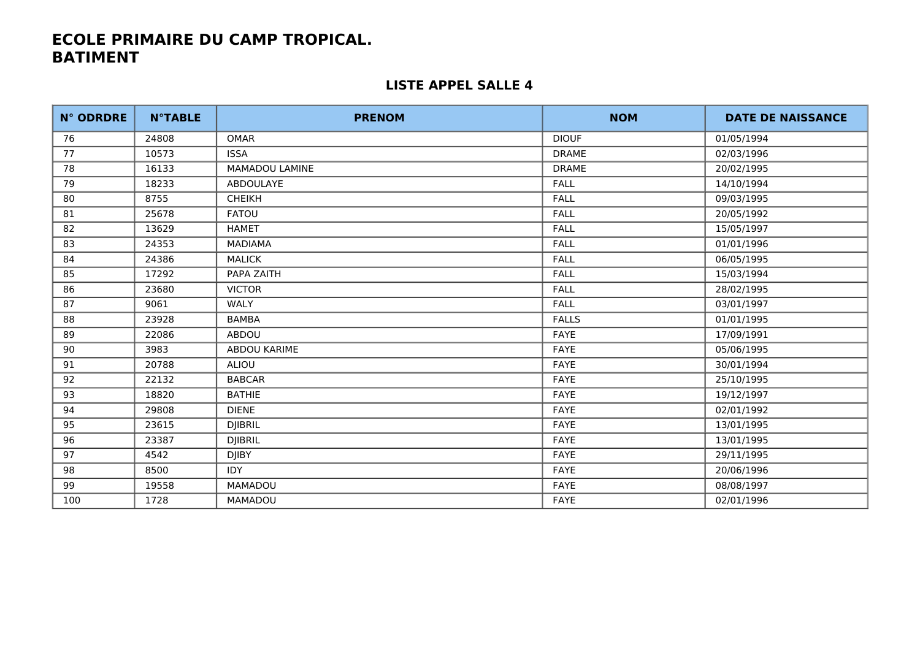| <b>N° ODRDRE</b> | <b>N°TABLE</b> | <b>PRENOM</b>         | <b>NOM</b>   | <b>DATE DE NAISSANCE</b> |
|------------------|----------------|-----------------------|--------------|--------------------------|
| 76               | 24808          | <b>OMAR</b>           | <b>DIOUF</b> | 01/05/1994               |
| 77               | 10573          | <b>ISSA</b>           | <b>DRAME</b> | 02/03/1996               |
| 78               | 16133          | <b>MAMADOU LAMINE</b> | <b>DRAME</b> | 20/02/1995               |
| 79               | 18233          | ABDOULAYE             | <b>FALL</b>  | 14/10/1994               |
| 80               | 8755           | <b>CHEIKH</b>         | <b>FALL</b>  | 09/03/1995               |
| 81               | 25678          | <b>FATOU</b>          | <b>FALL</b>  | 20/05/1992               |
| 82               | 13629          | <b>HAMET</b>          | <b>FALL</b>  | 15/05/1997               |
| 83               | 24353          | <b>MADIAMA</b>        | <b>FALL</b>  | 01/01/1996               |
| 84               | 24386          | <b>MALICK</b>         | <b>FALL</b>  | 06/05/1995               |
| 85               | 17292          | PAPA ZAITH            | <b>FALL</b>  | 15/03/1994               |
| 86               | 23680          | <b>VICTOR</b>         | <b>FALL</b>  | 28/02/1995               |
| 87               | 9061           | WALY                  | <b>FALL</b>  | 03/01/1997               |
| 88               | 23928          | <b>BAMBA</b>          | <b>FALLS</b> | 01/01/1995               |
| 89               | 22086          | ABDOU                 | FAYE         | 17/09/1991               |
| 90               | 3983           | ABDOU KARIME          | FAYE         | 05/06/1995               |
| 91               | 20788          | <b>ALIOU</b>          | FAYE         | 30/01/1994               |
| 92               | 22132          | <b>BABCAR</b>         | FAYE         | 25/10/1995               |
| 93               | 18820          | <b>BATHIE</b>         | <b>FAYE</b>  | 19/12/1997               |
| 94               | 29808          | <b>DIENE</b>          | FAYE         | 02/01/1992               |
| 95               | 23615          | <b>DJIBRIL</b>        | <b>FAYE</b>  | 13/01/1995               |
| 96               | 23387          | <b>DJIBRIL</b>        | FAYE         | 13/01/1995               |
| 97               | 4542           | <b>DJIBY</b>          | FAYE         | 29/11/1995               |
| 98               | 8500           | <b>IDY</b>            | FAYE         | 20/06/1996               |
| 99               | 19558          | <b>MAMADOU</b>        | FAYE         | 08/08/1997               |
| 100              | 1728           | MAMADOU               | FAYE         | 02/01/1996               |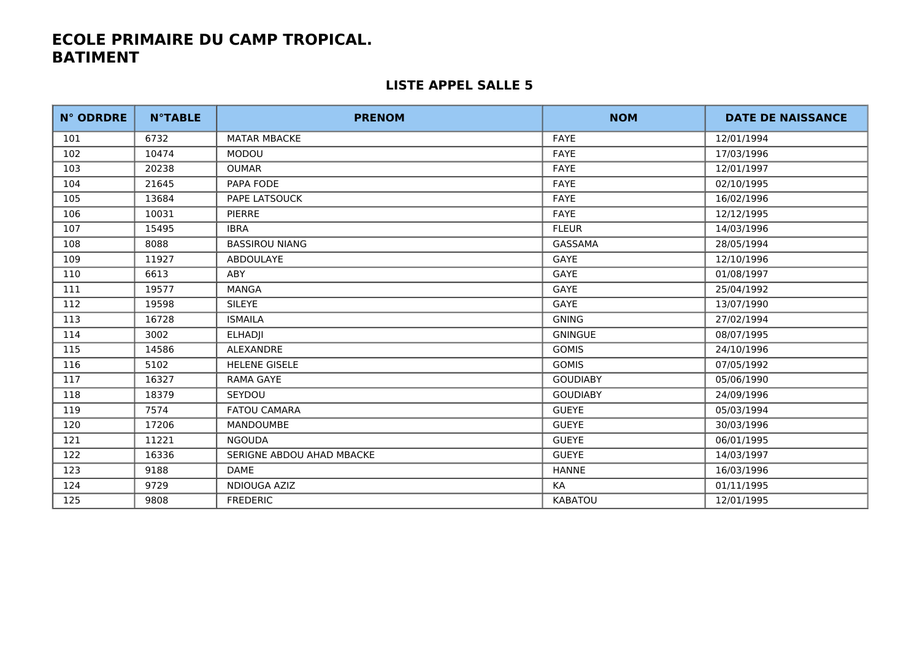| <b>N° ODRDRE</b> | <b>N°TABLE</b> | <b>PRENOM</b>             | <b>NOM</b>      | <b>DATE DE NAISSANCE</b> |
|------------------|----------------|---------------------------|-----------------|--------------------------|
| 101              | 6732           | <b>MATAR MBACKE</b>       | <b>FAYE</b>     | 12/01/1994               |
| 102              | 10474          | <b>MODOU</b>              | <b>FAYE</b>     | 17/03/1996               |
| 103              | 20238          | <b>OUMAR</b>              | FAYE            | 12/01/1997               |
| 104              | 21645          | PAPA FODE                 | FAYE            | 02/10/1995               |
| 105              | 13684          | PAPE LATSOUCK             | <b>FAYE</b>     | 16/02/1996               |
| 106              | 10031          | <b>PIERRE</b>             | <b>FAYE</b>     | 12/12/1995               |
| 107              | 15495          | <b>IBRA</b>               | <b>FLEUR</b>    | 14/03/1996               |
| 108              | 8088           | <b>BASSIROU NIANG</b>     | GASSAMA         | 28/05/1994               |
| 109              | 11927          | <b>ABDOULAYE</b>          | GAYE            | 12/10/1996               |
| 110              | 6613           | ABY                       | GAYE            | 01/08/1997               |
| 111              | 19577          | <b>MANGA</b>              | GAYE            | 25/04/1992               |
| 112              | 19598          | <b>SILEYE</b>             | GAYE            | 13/07/1990               |
| 113              | 16728          | <b>ISMAILA</b>            | <b>GNING</b>    | 27/02/1994               |
| 114              | 3002           | <b>ELHADII</b>            | <b>GNINGUE</b>  | 08/07/1995               |
| 115              | 14586          | <b>ALEXANDRE</b>          | <b>GOMIS</b>    | 24/10/1996               |
| 116              | 5102           | <b>HELENE GISELE</b>      | <b>GOMIS</b>    | 07/05/1992               |
| 117              | 16327          | <b>RAMA GAYE</b>          | <b>GOUDIABY</b> | 05/06/1990               |
| 118              | 18379          | SEYDOU                    | <b>GOUDIABY</b> | 24/09/1996               |
| 119              | 7574           | <b>FATOU CAMARA</b>       | <b>GUEYE</b>    | 05/03/1994               |
| 120              | 17206          | <b>MANDOUMBE</b>          | <b>GUEYE</b>    | 30/03/1996               |
| 121              | 11221          | <b>NGOUDA</b>             | <b>GUEYE</b>    | 06/01/1995               |
| 122              | 16336          | SERIGNE ABDOU AHAD MBACKE | <b>GUEYE</b>    | 14/03/1997               |
| 123              | 9188           | DAME                      | <b>HANNE</b>    | 16/03/1996               |
| 124              | 9729           | NDIOUGA AZIZ              | KA              | 01/11/1995               |
| 125              | 9808           | <b>FREDERIC</b>           | KABATOU         | 12/01/1995               |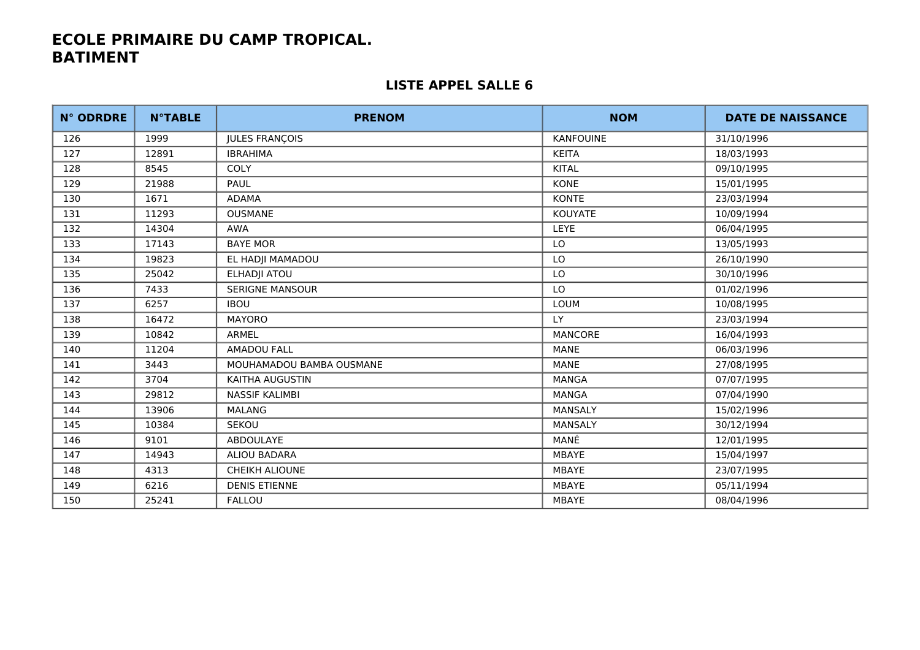| <b>N° ODRDRE</b> | <b>N°TABLE</b> | <b>PRENOM</b>            | <b>NOM</b>       | <b>DATE DE NAISSANCE</b> |
|------------------|----------------|--------------------------|------------------|--------------------------|
| 126              | 1999           | <b>JULES FRANÇOIS</b>    | <b>KANFOUINE</b> | 31/10/1996               |
| 127              | 12891          | <b>IBRAHIMA</b>          | <b>KEITA</b>     | 18/03/1993               |
| 128              | 8545           | <b>COLY</b>              | <b>KITAL</b>     | 09/10/1995               |
| 129              | 21988          | PAUL                     | <b>KONE</b>      | 15/01/1995               |
| 130              | 1671           | ADAMA                    | <b>KONTE</b>     | 23/03/1994               |
| 131              | 11293          | <b>OUSMANE</b>           | KOUYATE          | 10/09/1994               |
| 132              | 14304          | <b>AWA</b>               | <b>LEYE</b>      | 06/04/1995               |
| 133              | 17143          | <b>BAYE MOR</b>          | LO               | 13/05/1993               |
| 134              | 19823          | EL HADJI MAMADOU         | LO               | 26/10/1990               |
| 135              | 25042          | ELHADJI ATOU             | LO               | 30/10/1996               |
| 136              | 7433           | <b>SERIGNE MANSOUR</b>   | LO               | 01/02/1996               |
| 137              | 6257           | <b>IBOU</b>              | LOUM             | 10/08/1995               |
| 138              | 16472          | <b>MAYORO</b>            | LY               | 23/03/1994               |
| 139              | 10842          | ARMEL                    | MANCORE          | 16/04/1993               |
| 140              | 11204          | <b>AMADOU FALL</b>       | MANE             | 06/03/1996               |
| 141              | 3443           | MOUHAMADOU BAMBA OUSMANE | MANE             | 27/08/1995               |
| 142              | 3704           | KAITHA AUGUSTIN          | <b>MANGA</b>     | 07/07/1995               |
| 143              | 29812          | <b>NASSIF KALIMBI</b>    | <b>MANGA</b>     | 07/04/1990               |
| 144              | 13906          | <b>MALANG</b>            | MANSALY          | 15/02/1996               |
| 145              | 10384          | SEKOU                    | MANSALY          | 30/12/1994               |
| 146              | 9101           | ABDOULAYE                | MANÉ             | 12/01/1995               |
| 147              | 14943          | ALIOU BADARA             | <b>MBAYE</b>     | 15/04/1997               |
| 148              | 4313           | <b>CHEIKH ALIOUNE</b>    | MBAYE            | 23/07/1995               |
| 149              | 6216           | <b>DENIS ETIENNE</b>     | <b>MBAYE</b>     | 05/11/1994               |
| 150              | 25241          | <b>FALLOU</b>            | MBAYE            | 08/04/1996               |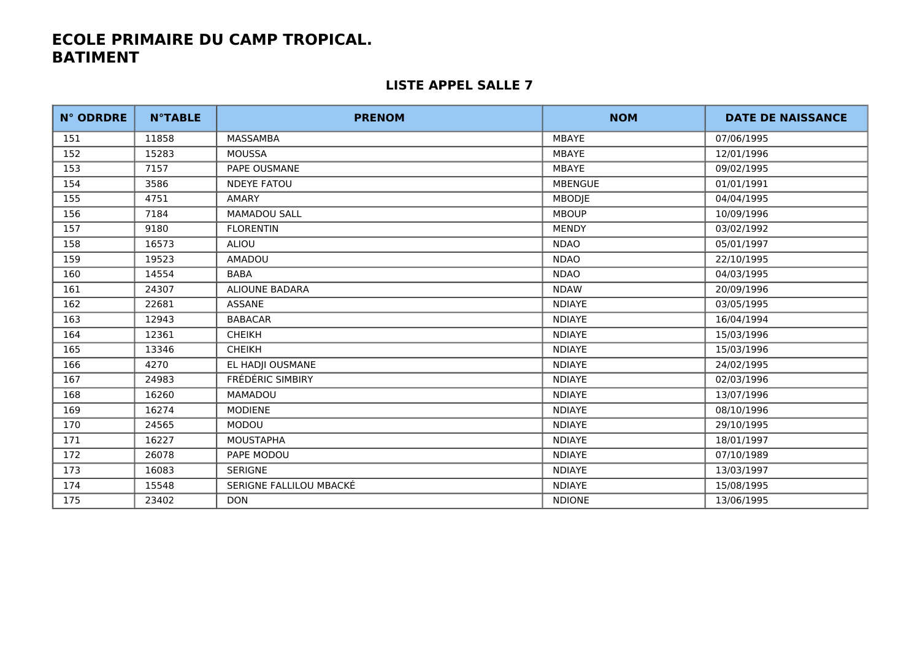| <b>N° ODRDRE</b> | <b>N°TABLE</b> | <b>PRENOM</b>           | <b>NOM</b>     | <b>DATE DE NAISSANCE</b> |
|------------------|----------------|-------------------------|----------------|--------------------------|
| 151              | 11858          | MASSAMBA                | <b>MBAYE</b>   | 07/06/1995               |
| 152              | 15283          | <b>MOUSSA</b>           | <b>MBAYE</b>   | 12/01/1996               |
| 153              | 7157           | PAPE OUSMANE            | <b>MBAYE</b>   | 09/02/1995               |
| 154              | 3586           | <b>NDEYE FATOU</b>      | <b>MBENGUE</b> | 01/01/1991               |
| 155              | 4751           | AMARY                   | MBODJE         | 04/04/1995               |
| 156              | 7184           | <b>MAMADOU SALL</b>     | <b>MBOUP</b>   | 10/09/1996               |
| 157              | 9180           | <b>FLORENTIN</b>        | <b>MENDY</b>   | 03/02/1992               |
| 158              | 16573          | ALIOU                   | <b>NDAO</b>    | 05/01/1997               |
| 159              | 19523          | <b>AMADOU</b>           | <b>NDAO</b>    | 22/10/1995               |
| 160              | 14554          | <b>BABA</b>             | <b>NDAO</b>    | 04/03/1995               |
| 161              | 24307          | <b>ALIOUNE BADARA</b>   | <b>NDAW</b>    | 20/09/1996               |
| 162              | 22681          | ASSANE                  | <b>NDIAYE</b>  | 03/05/1995               |
| 163              | 12943          | <b>BABACAR</b>          | <b>NDIAYE</b>  | 16/04/1994               |
| 164              | 12361          | <b>CHEIKH</b>           | <b>NDIAYE</b>  | 15/03/1996               |
| 165              | 13346          | <b>CHEIKH</b>           | <b>NDIAYE</b>  | 15/03/1996               |
| 166              | 4270           | EL HADJI OUSMANE        | <b>NDIAYE</b>  | 24/02/1995               |
| 167              | 24983          | FRÉDÉRIC SIMBIRY        | <b>NDIAYE</b>  | 02/03/1996               |
| 168              | 16260          | <b>MAMADOU</b>          | <b>NDIAYE</b>  | 13/07/1996               |
| 169              | 16274          | <b>MODIENE</b>          | <b>NDIAYE</b>  | 08/10/1996               |
| 170              | 24565          | MODOU                   | <b>NDIAYE</b>  | 29/10/1995               |
| 171              | 16227          | <b>MOUSTAPHA</b>        | <b>NDIAYE</b>  | 18/01/1997               |
| 172              | 26078          | PAPE MODOU              | <b>NDIAYE</b>  | 07/10/1989               |
| 173              | 16083          | <b>SERIGNE</b>          | <b>NDIAYE</b>  | 13/03/1997               |
| 174              | 15548          | SERIGNE FALLILOU MBACKÉ | <b>NDIAYE</b>  | 15/08/1995               |
| 175              | 23402          | <b>DON</b>              | <b>NDIONE</b>  | 13/06/1995               |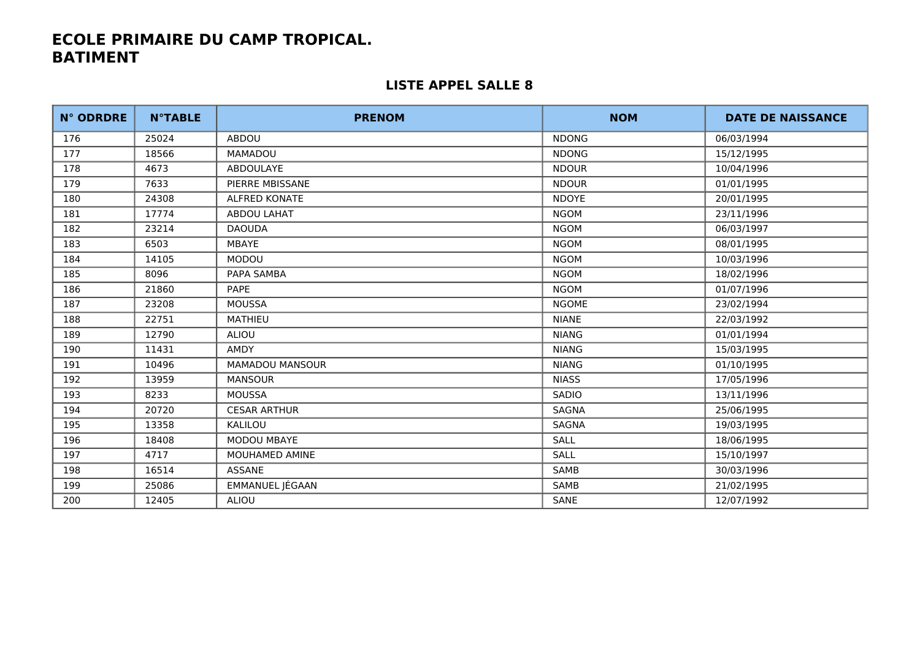| <b>N° ODRDRE</b> | <b>N°TABLE</b> | <b>PRENOM</b>        | <b>NOM</b>   | <b>DATE DE NAISSANCE</b> |
|------------------|----------------|----------------------|--------------|--------------------------|
| 176              | 25024          | ABDOU                | <b>NDONG</b> | 06/03/1994               |
| 177              | 18566          | <b>MAMADOU</b>       | <b>NDONG</b> | 15/12/1995               |
| 178              | 4673           | ABDOULAYE            | <b>NDOUR</b> | 10/04/1996               |
| 179              | 7633           | PIERRE MBISSANE      | <b>NDOUR</b> | 01/01/1995               |
| 180              | 24308          | <b>ALFRED KONATE</b> | <b>NDOYE</b> | 20/01/1995               |
| 181              | 17774          | ABDOU LAHAT          | <b>NGOM</b>  | 23/11/1996               |
| 182              | 23214          | <b>DAOUDA</b>        | <b>NGOM</b>  | 06/03/1997               |
| 183              | 6503           | MBAYE                | <b>NGOM</b>  | 08/01/1995               |
| 184              | 14105          | MODOU                | <b>NGOM</b>  | 10/03/1996               |
| 185              | 8096           | PAPA SAMBA           | <b>NGOM</b>  | 18/02/1996               |
| 186              | 21860          | <b>PAPE</b>          | <b>NGOM</b>  | 01/07/1996               |
| 187              | 23208          | <b>MOUSSA</b>        | <b>NGOME</b> | 23/02/1994               |
| 188              | 22751          | <b>MATHIEU</b>       | <b>NIANE</b> | 22/03/1992               |
| 189              | 12790          | ALIOU                | <b>NIANG</b> | 01/01/1994               |
| 190              | 11431          | <b>AMDY</b>          | <b>NIANG</b> | 15/03/1995               |
| 191              | 10496          | MAMADOU MANSOUR      | <b>NIANG</b> | 01/10/1995               |
| 192              | 13959          | <b>MANSOUR</b>       | <b>NIASS</b> | 17/05/1996               |
| 193              | 8233           | <b>MOUSSA</b>        | <b>SADIO</b> | 13/11/1996               |
| 194              | 20720          | <b>CESAR ARTHUR</b>  | <b>SAGNA</b> | 25/06/1995               |
| 195              | 13358          | KALILOU              | SAGNA        | 19/03/1995               |
| 196              | 18408          | MODOU MBAYE          | <b>SALL</b>  | 18/06/1995               |
| 197              | 4717           | MOUHAMED AMINE       | <b>SALL</b>  | 15/10/1997               |
| 198              | 16514          | <b>ASSANE</b>        | <b>SAMB</b>  | 30/03/1996               |
| 199              | 25086          | EMMANUEL JÉGAAN      | SAMB         | 21/02/1995               |
| 200              | 12405          | ALIOU                | SANE         | 12/07/1992               |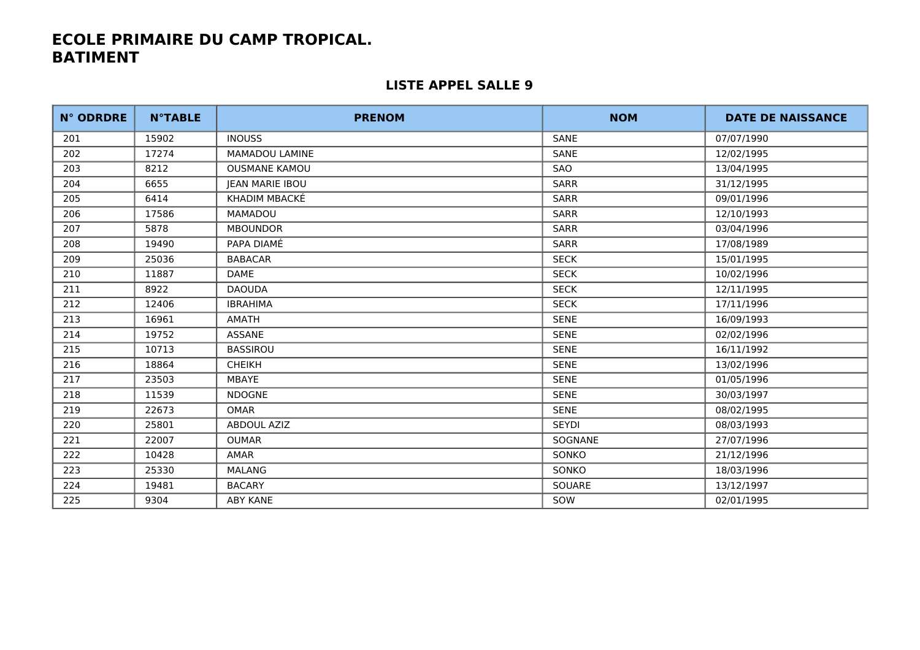| <b>N° ODRDRE</b> | <b>N°TABLE</b> | <b>PRENOM</b>          | <b>NOM</b>   | <b>DATE DE NAISSANCE</b> |
|------------------|----------------|------------------------|--------------|--------------------------|
| 201              | 15902          | <b>INOUSS</b>          | <b>SANE</b>  | 07/07/1990               |
| 202              | 17274          | MAMADOU LAMINE         | SANE         | 12/02/1995               |
| 203              | 8212           | <b>OUSMANE KAMOU</b>   | SAO          | 13/04/1995               |
| 204              | 6655           | <b>JEAN MARIE IBOU</b> | <b>SARR</b>  | 31/12/1995               |
| 205              | 6414           | KHADIM MBACKÉ          | <b>SARR</b>  | 09/01/1996               |
| 206              | 17586          | <b>MAMADOU</b>         | <b>SARR</b>  | 12/10/1993               |
| 207              | 5878           | <b>MBOUNDOR</b>        | <b>SARR</b>  | 03/04/1996               |
| 208              | 19490          | PAPA DIAMÉ             | <b>SARR</b>  | 17/08/1989               |
| 209              | 25036          | <b>BABACAR</b>         | <b>SECK</b>  | 15/01/1995               |
| 210              | 11887          | <b>DAME</b>            | <b>SECK</b>  | 10/02/1996               |
| 211              | 8922           | <b>DAOUDA</b>          | <b>SECK</b>  | 12/11/1995               |
| 212              | 12406          | <b>IBRAHIMA</b>        | <b>SECK</b>  | 17/11/1996               |
| 213              | 16961          | AMATH                  | <b>SENE</b>  | 16/09/1993               |
| 214              | 19752          | <b>ASSANE</b>          | <b>SENE</b>  | 02/02/1996               |
| 215              | 10713          | <b>BASSIROU</b>        | <b>SENE</b>  | 16/11/1992               |
| 216              | 18864          | <b>CHEIKH</b>          | <b>SENE</b>  | 13/02/1996               |
| 217              | 23503          | MBAYE                  | <b>SENE</b>  | 01/05/1996               |
| 218              | 11539          | <b>NDOGNE</b>          | <b>SENE</b>  | 30/03/1997               |
| 219              | 22673          | <b>OMAR</b>            | <b>SENE</b>  | 08/02/1995               |
| 220              | 25801          | ABDOUL AZIZ            | <b>SEYDI</b> | 08/03/1993               |
| 221              | 22007          | OUMAR                  | SOGNANE      | 27/07/1996               |
| 222              | 10428          | AMAR                   | SONKO        | 21/12/1996               |
| 223              | 25330          | <b>MALANG</b>          | <b>SONKO</b> | 18/03/1996               |
| 224              | 19481          | <b>BACARY</b>          | SOUARE       | 13/12/1997               |
| 225              | 9304           | ABY KANE               | SOW          | 02/01/1995               |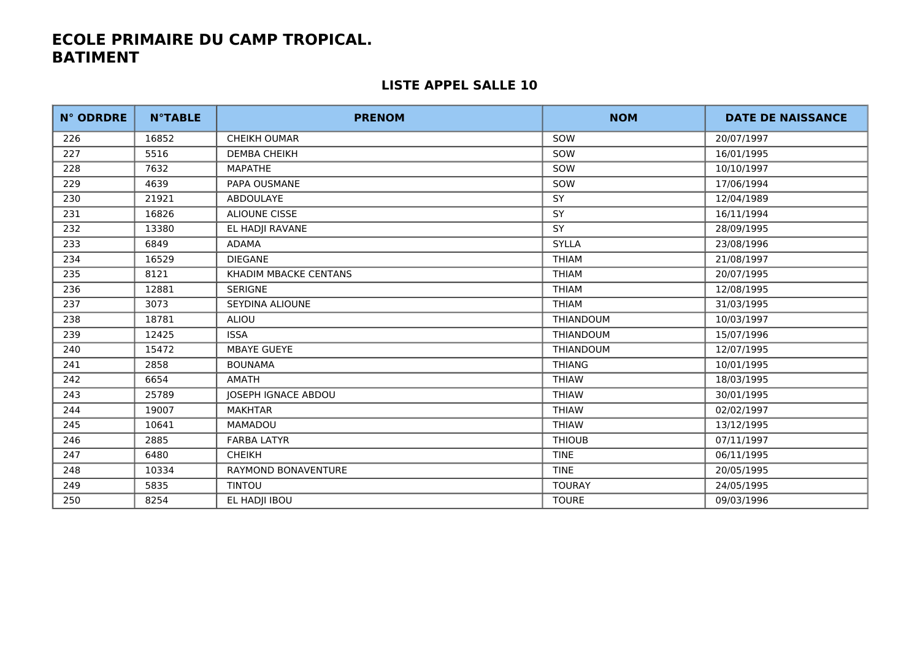| <b>N° ODRDRE</b> | <b>N°TABLE</b> | <b>PRENOM</b>              | <b>NOM</b>       | <b>DATE DE NAISSANCE</b> |
|------------------|----------------|----------------------------|------------------|--------------------------|
| 226              | 16852          | <b>CHEIKH OUMAR</b>        | SOW              | 20/07/1997               |
| 227              | 5516           | <b>DEMBA CHEIKH</b>        | SOW              | 16/01/1995               |
| 228              | 7632           | MAPATHE                    | SOW              | 10/10/1997               |
| 229              | 4639           | PAPA OUSMANE               | SOW              | 17/06/1994               |
| 230              | 21921          | <b>ABDOULAYE</b>           | <b>SY</b>        | 12/04/1989               |
| 231              | 16826          | <b>ALIOUNE CISSE</b>       | <b>SY</b>        | 16/11/1994               |
| 232              | 13380          | EL HADJI RAVANE            | SY               | 28/09/1995               |
| 233              | 6849           | <b>ADAMA</b>               | <b>SYLLA</b>     | 23/08/1996               |
| 234              | 16529          | <b>DIEGANE</b>             | <b>THIAM</b>     | 21/08/1997               |
| 235              | 8121           | KHADIM MBACKE CENTANS      | <b>THIAM</b>     | 20/07/1995               |
| 236              | 12881          | <b>SERIGNE</b>             | <b>THIAM</b>     | 12/08/1995               |
| 237              | 3073           | SEYDINA ALIOUNE            | <b>THIAM</b>     | 31/03/1995               |
| 238              | 18781          | ALIOU                      | <b>THIANDOUM</b> | 10/03/1997               |
| 239              | 12425          | <b>ISSA</b>                | <b>THIANDOUM</b> | 15/07/1996               |
| 240              | 15472          | <b>MBAYE GUEYE</b>         | THIANDOUM        | 12/07/1995               |
| 241              | 2858           | <b>BOUNAMA</b>             | <b>THIANG</b>    | 10/01/1995               |
| 242              | 6654           | <b>AMATH</b>               | <b>THIAW</b>     | 18/03/1995               |
| 243              | 25789          | JOSEPH IGNACE ABDOU        | <b>THIAW</b>     | 30/01/1995               |
| 244              | 19007          | <b>MAKHTAR</b>             | <b>THIAW</b>     | 02/02/1997               |
| 245              | 10641          | <b>MAMADOU</b>             | <b>THIAW</b>     | 13/12/1995               |
| 246              | 2885           | <b>FARBA LATYR</b>         | <b>THIOUB</b>    | 07/11/1997               |
| 247              | 6480           | <b>CHEIKH</b>              | <b>TINE</b>      | 06/11/1995               |
| 248              | 10334          | <b>RAYMOND BONAVENTURE</b> | <b>TINE</b>      | 20/05/1995               |
| 249              | 5835           | <b>TINTOU</b>              | <b>TOURAY</b>    | 24/05/1995               |
| 250              | 8254           | EL HADJI IBOU              | <b>TOURE</b>     | 09/03/1996               |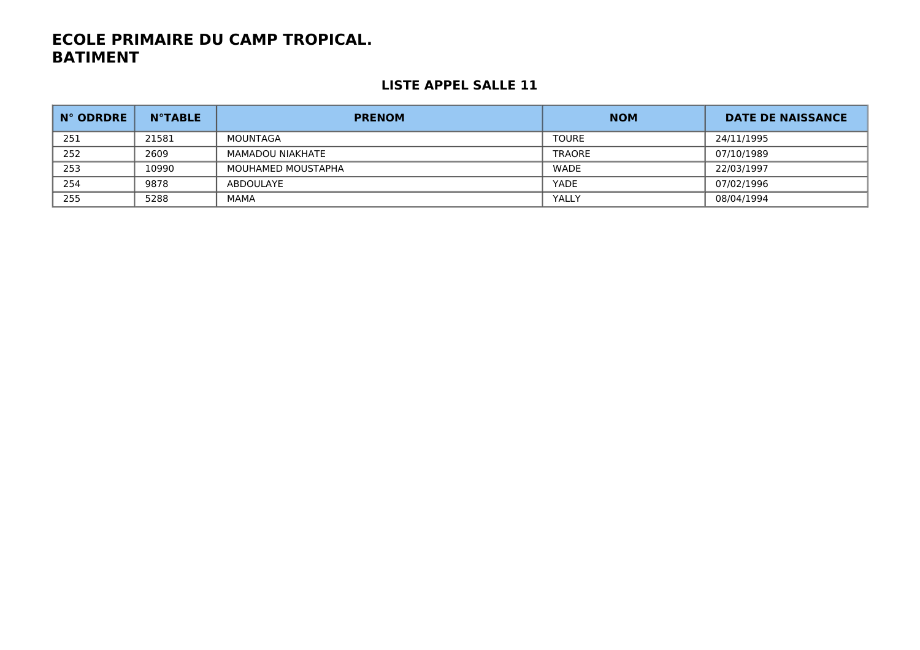| N° ODRDRE | <b>N°TABLE</b> | <b>PRENOM</b>      | <b>NOM</b>    | <b>DATE DE NAISSANCE</b> |
|-----------|----------------|--------------------|---------------|--------------------------|
| 251       | 21581          | MOUNTAGA           | <b>TOURE</b>  | 24/11/1995               |
| 252       | 2609           | MAMADOU NIAKHATE   | <b>TRAORE</b> | 07/10/1989               |
| 253       | 10990          | MOUHAMED MOUSTAPHA | <b>WADE</b>   | 22/03/1997               |
| 254       | 9878           | ABDOULAYE          | YADE          | 07/02/1996               |
| 255       | 5288           | MAMA               | YALLY         | 08/04/1994               |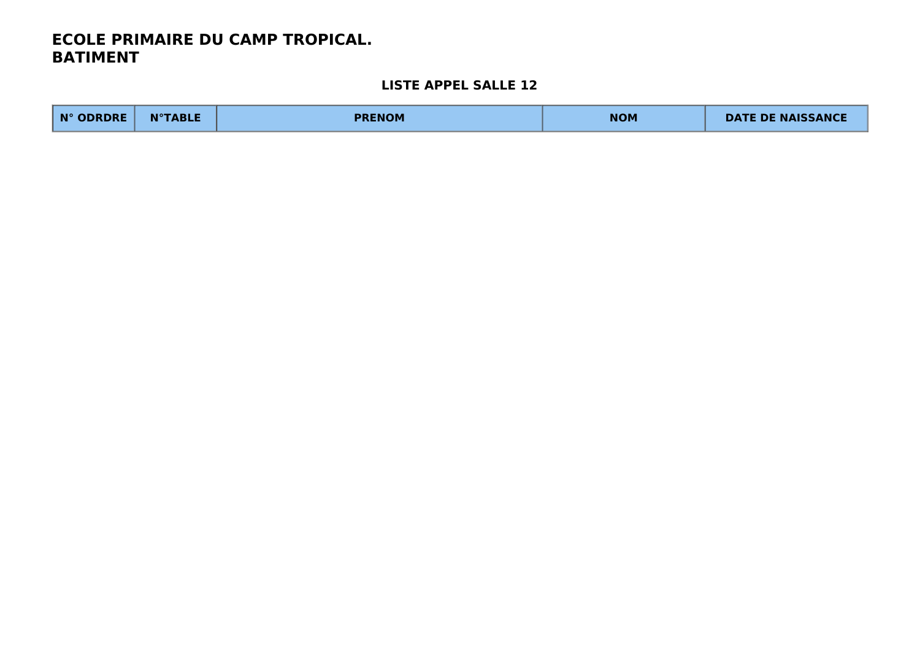| N° ODRDRE | <b>N°TABLE</b> | <b>PRENOM</b> | <b>NOM</b> | <b>DATE DE NAISSANCE</b> |
|-----------|----------------|---------------|------------|--------------------------|
|-----------|----------------|---------------|------------|--------------------------|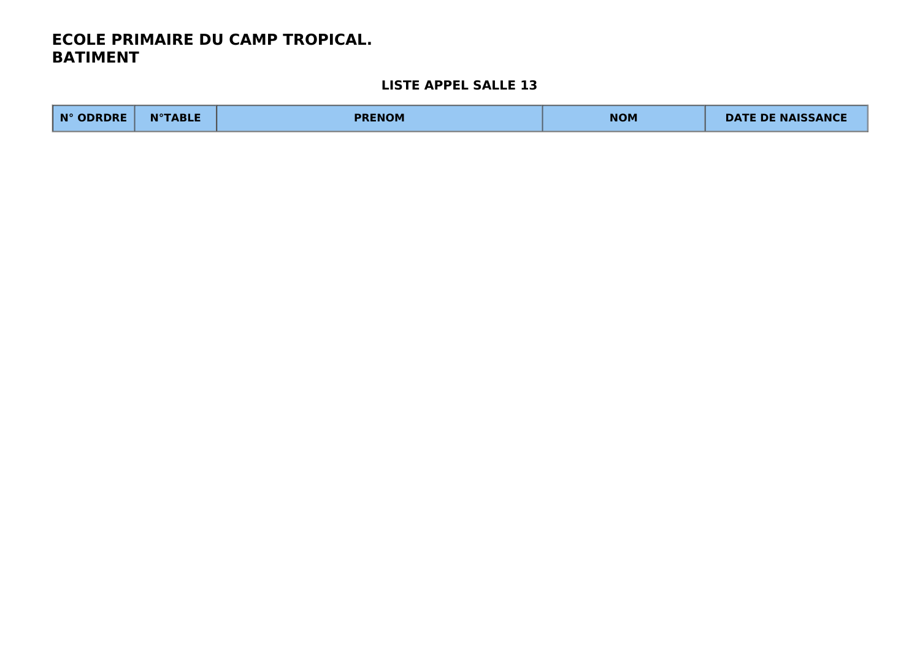| N° ODRDRE | <b>N°TABLE</b> | <b>PRENOM</b> | <b>NOM</b> | <b>DATE DE NAISSANCE</b> |
|-----------|----------------|---------------|------------|--------------------------|
|-----------|----------------|---------------|------------|--------------------------|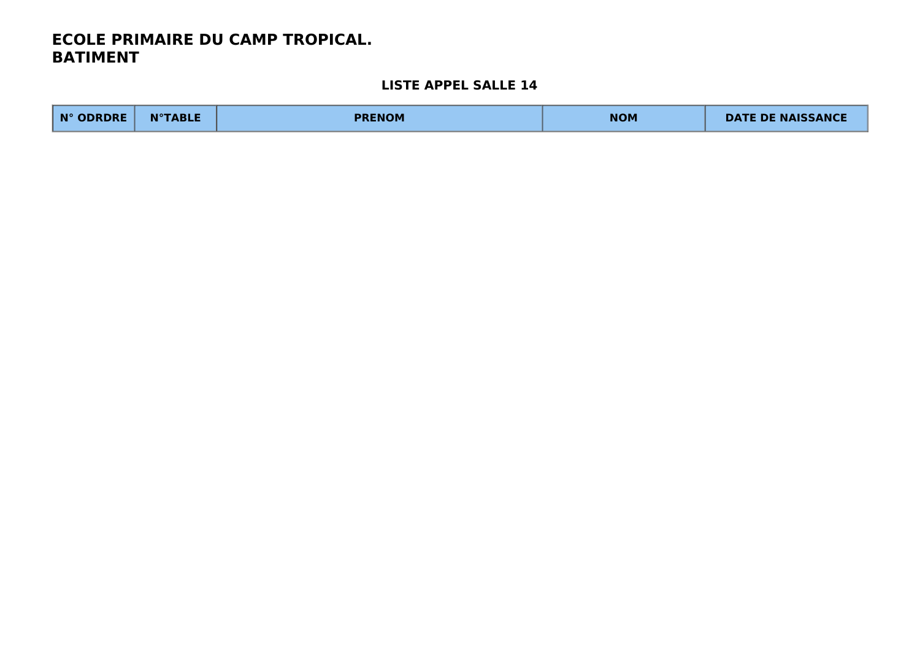| N° ODRDRE | <b>N°TABLE</b> | <b>PRENOM</b> | <b>NOM</b> | <b>DATE DE NAISSANCE</b> |
|-----------|----------------|---------------|------------|--------------------------|
|-----------|----------------|---------------|------------|--------------------------|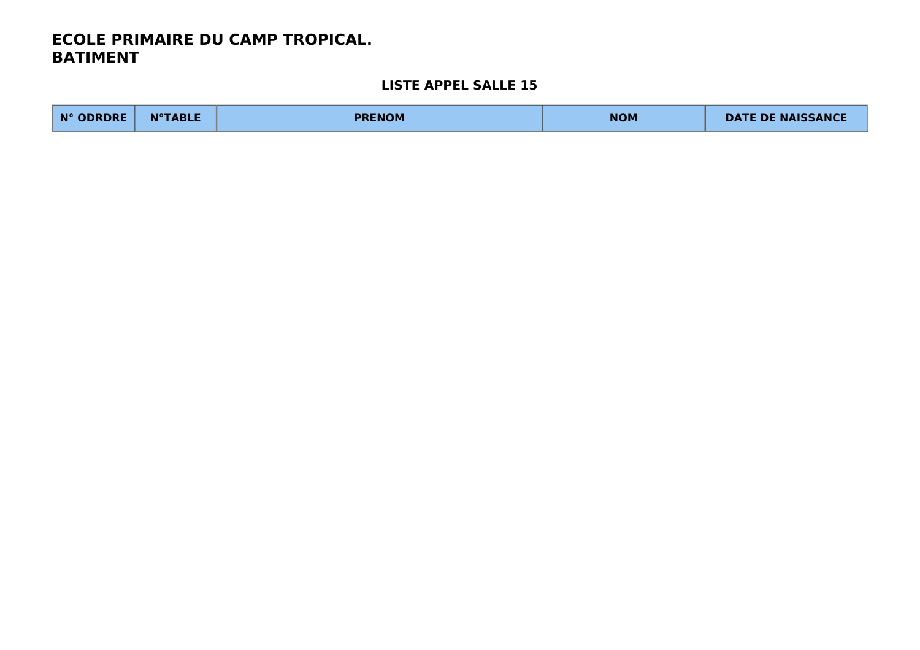| N° ODRDRE | <b>N°TABLE</b> | <b>PRENOM</b> | <b>NOM</b> | <b>DATE DE NAISSANCE</b> |
|-----------|----------------|---------------|------------|--------------------------|
|-----------|----------------|---------------|------------|--------------------------|